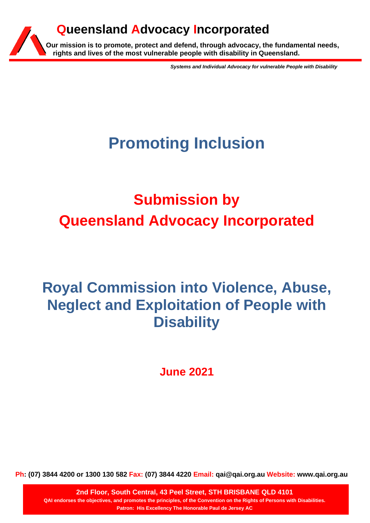# **Queensland Advocacy Incorporated**

**Our mission is to promote, protect and defend, through advocacy, the fundamental needs, rights and lives of the most vulnerable people with disability in Queensland.**

*Systems and Individual Advocacy for vulnerable People with Disability*

# **Promoting Inclusion**

# **Submission by Queensland Advocacy Incorporated**

# **Royal Commission into Violence, Abuse, Neglect and Exploitation of People with Disability**

**June 2021**

**Ph: (07) 3844 4200 or 1300 130 582 Fax: (07) 3844 4220 Email: qai@qai.org.au Website: www.qai.org.au**

**2nd Floor, South Central, 43 Peel Street, STH BRISBANE QLD 4101 QAI endorses the objectives, and promotes the principles, of the Convention on the Rights of Persons with Disabilities. Patron: His Excellency The Honorable Paul de Jersey AC**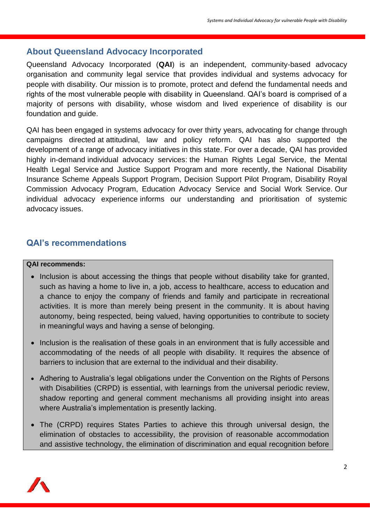### **About Queensland Advocacy Incorporated**

Queensland Advocacy Incorporated (**QAI**) is an independent, community-based advocacy organisation and community legal service that provides individual and systems advocacy for people with disability. Our mission is to promote, protect and defend the fundamental needs and rights of the most vulnerable people with disability in Queensland. QAI's board is comprised of a majority of persons with disability, whose wisdom and lived experience of disability is our foundation and guide.

QAI has been engaged in systems advocacy for over thirty years, advocating for change through campaigns directed at attitudinal, law and policy reform. QAI has also supported the development of a range of advocacy initiatives in this state. For over a decade, QAI has provided highly in-demand individual advocacy services: the Human Rights Legal Service, the Mental Health Legal Service and Justice Support Program and more recently, the National Disability Insurance Scheme Appeals Support Program, Decision Support Pilot Program, Disability Royal Commission Advocacy Program, Education Advocacy Service and Social Work Service. Our individual advocacy experience informs our understanding and prioritisation of systemic advocacy issues.

### **QAI's recommendations**

#### **QAI recommends:**

- Inclusion is about accessing the things that people without disability take for granted, such as having a home to live in, a job, access to healthcare, access to education and a chance to enjoy the company of friends and family and participate in recreational activities. It is more than merely being present in the community. It is about having autonomy, being respected, being valued, having opportunities to contribute to society in meaningful ways and having a sense of belonging.
- Inclusion is the realisation of these goals in an environment that is fully accessible and accommodating of the needs of all people with disability. It requires the absence of barriers to inclusion that are external to the individual and their disability.
- Adhering to Australia's legal obligations under the Convention on the Rights of Persons with Disabilities (CRPD) is essential, with learnings from the universal periodic review, shadow reporting and general comment mechanisms all providing insight into areas where Australia's implementation is presently lacking.
- The (CRPD) requires States Parties to achieve this through universal design, the elimination of obstacles to accessibility, the provision of reasonable accommodation and assistive technology, the elimination of discrimination and equal recognition before

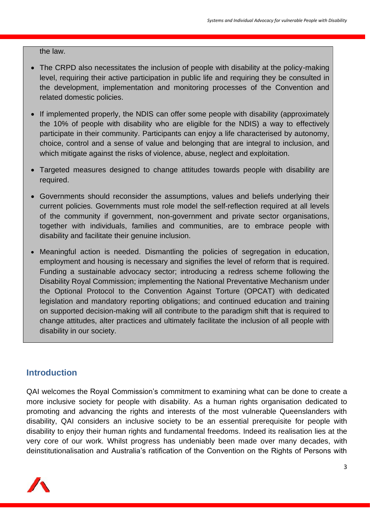the law.

- The CRPD also necessitates the inclusion of people with disability at the policy-making level, requiring their active participation in public life and requiring they be consulted in the development, implementation and monitoring processes of the Convention and related domestic policies.
- If implemented properly, the NDIS can offer some people with disability (approximately the 10% of people with disability who are eligible for the NDIS) a way to effectively participate in their community. Participants can enjoy a life characterised by autonomy, choice, control and a sense of value and belonging that are integral to inclusion, and which mitigate against the risks of violence, abuse, neglect and exploitation.
- Targeted measures designed to change attitudes towards people with disability are required.
- Governments should reconsider the assumptions, values and beliefs underlying their current policies. Governments must role model the self-reflection required at all levels of the community if government, non-government and private sector organisations, together with individuals, families and communities, are to embrace people with disability and facilitate their genuine inclusion.
- Meaningful action is needed. Dismantling the policies of segregation in education, employment and housing is necessary and signifies the level of reform that is required. Funding a sustainable advocacy sector; introducing a redress scheme following the Disability Royal Commission; implementing the National Preventative Mechanism under the Optional Protocol to the Convention Against Torture (OPCAT) with dedicated legislation and mandatory reporting obligations; and continued education and training on supported decision-making will all contribute to the paradigm shift that is required to change attitudes, alter practices and ultimately facilitate the inclusion of all people with disability in our society.

#### **Introduction**

QAI welcomes the Royal Commission's commitment to examining what can be done to create a more inclusive society for people with disability. As a human rights organisation dedicated to promoting and advancing the rights and interests of the most vulnerable Queenslanders with disability, QAI considers an inclusive society to be an essential prerequisite for people with disability to enjoy their human rights and fundamental freedoms. Indeed its realisation lies at the very core of our work. Whilst progress has undeniably been made over many decades, with deinstitutionalisation and Australia's ratification of the Convention on the Rights of Persons with

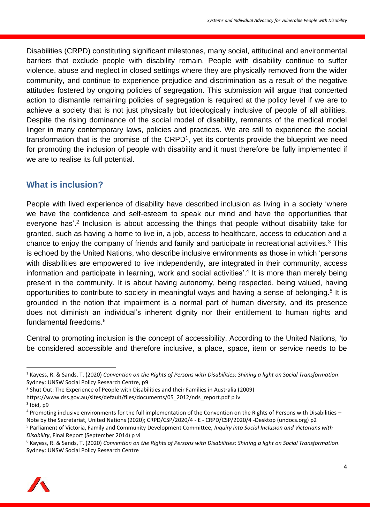Disabilities (CRPD) constituting significant milestones, many social, attitudinal and environmental barriers that exclude people with disability remain. People with disability continue to suffer violence, abuse and neglect in closed settings where they are physically removed from the wider community, and continue to experience prejudice and discrimination as a result of the negative attitudes fostered by ongoing policies of segregation. This submission will argue that concerted action to dismantle remaining policies of segregation is required at the policy level if we are to achieve a society that is not just physically but ideologically inclusive of people of all abilities. Despite the rising dominance of the social model of disability, remnants of the medical model linger in many contemporary laws, policies and practices. We are still to experience the social transformation that is the promise of the  $CRPD<sup>1</sup>$ , yet its contents provide the blueprint we need for promoting the inclusion of people with disability and it must therefore be fully implemented if we are to realise its full potential.

## **What is inclusion?**

People with lived experience of disability have described inclusion as living in a society 'where we have the confidence and self-esteem to speak our mind and have the opportunities that everyone has'.<sup>2</sup> Inclusion is about accessing the things that people without disability take for granted, such as having a home to live in, a job, access to healthcare, access to education and a chance to enjoy the company of friends and family and participate in recreational activities.<sup>3</sup> This is echoed by the United Nations, who describe inclusive environments as those in which 'persons with disabilities are empowered to live independently, are integrated in their community, access information and participate in learning, work and social activities'.<sup>4</sup> It is more than merely being present in the community. It is about having autonomy, being respected, being valued, having opportunities to contribute to society in meaningful ways and having a sense of belonging.<sup>5</sup> It is grounded in the notion that impairment is a normal part of human diversity, and its presence does not diminish an individual's inherent dignity nor their entitlement to human rights and fundamental freedoms.<sup>6</sup>

Central to promoting inclusion is the concept of accessibility. According to the United Nations, 'to be considered accessible and therefore inclusive, a place, space, item or service needs to be

https://www.dss.gov.au/sites/default/files/documents/05\_2012/nds\_report.pdf p iv <sup>3</sup> Ibid, p9

<sup>6</sup> Kayess, R. & Sands, T. (2020) *Convention on the Rights of Persons with Disabilities: Shining a light on Social Transformation*. Sydney: UNSW Social Policy Research Centre



<sup>1</sup> Kayess, R. & Sands, T. (2020) *Convention on the Rights of Persons with Disabilities: Shining a light on Social Transformation*. Sydney: UNSW Social Policy Research Centre, p9

<sup>&</sup>lt;sup>2</sup> Shut Out: The Experience of People with Disabilities and their Families in Australia (2009)

<sup>4</sup> Promoting inclusive environments for the full implementation of the Convention on the Rights of Persons with Disabilities – Note by the Secretariat, United Nations (2020); CRPD/CSP/2020/4 - E - CRPD/CSP/2020/4 -Desktop (undocs.org) p2

<sup>5</sup> Parliament of Victoria, Family and Community Development Committee, *Inquiry into Social Inclusion and Victorians with Disability*, Final Report (September 2014) p vi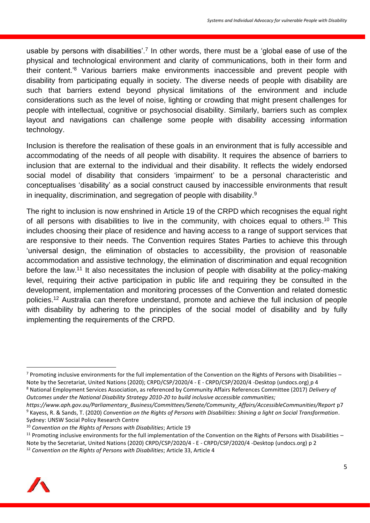usable by persons with disabilities'.<sup>7</sup> In other words, there must be a 'global ease of use of the physical and technological environment and clarity of communications, both in their form and their content.'<sup>8</sup> Various barriers make environments inaccessible and prevent people with disability from participating equally in society. The diverse needs of people with disability are such that barriers extend beyond physical limitations of the environment and include considerations such as the level of noise, lighting or crowding that might present challenges for people with intellectual, cognitive or psychosocial disability. Similarly, barriers such as complex layout and navigations can challenge some people with disability accessing information technology.

Inclusion is therefore the realisation of these goals in an environment that is fully accessible and accommodating of the needs of all people with disability. It requires the absence of barriers to inclusion that are external to the individual and their disability. It reflects the widely endorsed social model of disability that considers 'impairment' to be a personal characteristic and conceptualises 'disability' as a social construct caused by inaccessible environments that result in inequality, discrimination, and segregation of people with disability.<sup>9</sup>

The right to inclusion is now enshrined in Article 19 of the CRPD which recognises the equal right of all persons with disabilities to live in the community, with choices equal to others.<sup>10</sup> This includes choosing their place of residence and having access to a range of support services that are responsive to their needs. The Convention requires States Parties to achieve this through 'universal design, the elimination of obstacles to accessibility, the provision of reasonable accommodation and assistive technology, the elimination of discrimination and equal recognition before the law.<sup>11</sup> It also necessitates the inclusion of people with disability at the policy-making level, requiring their active participation in public life and requiring they be consulted in the development, implementation and monitoring processes of the Convention and related domestic policies. <sup>12</sup> Australia can therefore understand, promote and achieve the full inclusion of people with disability by adhering to the principles of the social model of disability and by fully implementing the requirements of the CRPD.

<sup>12</sup> *Convention on the Rights of Persons with Disabilities*; Article 33, Article 4



 $7$  Promoting inclusive environments for the full implementation of the Convention on the Rights of Persons with Disabilities – Note by the Secretariat, United Nations (2020); CRPD/CSP/2020/4 - E - CRPD/CSP/2020/4 -Desktop (undocs.org) p 4 <sup>8</sup> National Employment Services Association, as referenced by Community Affairs References Committee (2017) *Delivery of* 

*Outcomes under the National Disability Strategy 2010-20 to build inclusive accessible communities;* 

*https://www.aph.gov.au/Parliamentary\_Business/Committees/Senate/Community\_Affairs/AccessibleCommunities/Report* p7 <sup>9</sup> Kayess, R. & Sands, T. (2020) *Convention on the Rights of Persons with Disabilities: Shining a light on Social Transformation*. Sydney: UNSW Social Policy Research Centre

<sup>10</sup> *Convention on the Rights of Persons with Disabilities*; Article 19

<sup>&</sup>lt;sup>11</sup> Promoting inclusive environments for the full implementation of the Convention on the Rights of Persons with Disabilities -Note by the Secretariat, United Nations (2020) CRPD/CSP/2020/4 - E - CRPD/CSP/2020/4 -Desktop (undocs.org) p 2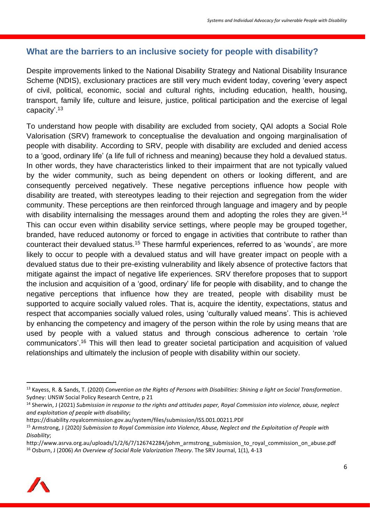## **What are the barriers to an inclusive society for people with disability?**

Despite improvements linked to the National Disability Strategy and National Disability Insurance Scheme (NDIS), exclusionary practices are still very much evident today, covering 'every aspect of civil, political, economic, social and cultural rights, including education, health, housing, transport, family life, culture and leisure, justice, political participation and the exercise of legal capacity'.<sup>13</sup>

To understand how people with disability are excluded from society, QAI adopts a Social Role Valorisation (SRV) framework to conceptualise the devaluation and ongoing marginalisation of people with disability. According to SRV, people with disability are excluded and denied access to a 'good, ordinary life' (a life full of richness and meaning) because they hold a devalued status. In other words, they have characteristics linked to their impairment that are not typically valued by the wider community, such as being dependent on others or looking different, and are consequently perceived negatively. These negative perceptions influence how people with disability are treated, with stereotypes leading to their rejection and segregation from the wider community. These perceptions are then reinforced through language and imagery and by people with disability internalising the messages around them and adopting the roles they are given.<sup>14</sup> This can occur even within disability service settings, where people may be grouped together, branded, have reduced autonomy or forced to engage in activities that contribute to rather than counteract their devalued status.<sup>15</sup> These harmful experiences, referred to as 'wounds', are more likely to occur to people with a devalued status and will have greater impact on people with a devalued status due to their pre-existing vulnerability and likely absence of protective factors that mitigate against the impact of negative life experiences. SRV therefore proposes that to support the inclusion and acquisition of a 'good, ordinary' life for people with disability, and to change the negative perceptions that influence how they are treated, people with disability must be supported to acquire socially valued roles. That is, acquire the identity, expectations, status and respect that accompanies socially valued roles, using 'culturally valued means'. This is achieved by enhancing the competency and imagery of the person within the role by using means that are used by people with a valued status and through conscious adherence to certain 'role communicators'. <sup>16</sup> This will then lead to greater societal participation and acquisition of valued relationships and ultimately the inclusion of people with disability within our society.

http://www.asrva.org.au/uploads/1/2/6/7/126742284/johm\_armstrong\_submission\_to\_royal\_commission\_on\_abuse.pdf <sup>16</sup> Osburn, J (2006) *An Overview of Social Role Valorization Theory*. The SRV Journal, 1(1), 4-13



<sup>13</sup> Kayess, R. & Sands, T. (2020) *Convention on the Rights of Persons with Disabilities: Shining a light on Social Transformation*. Sydney: UNSW Social Policy Research Centre, p 21

<sup>14</sup> Sherwin, J (2021) *Submission in response to the rights and attitudes paper, Royal Commission into violence, abuse, neglect and exploitation of people with disability*;

https://disability.royalcommission.gov.au/system/files/submission/ISS.001.00211.PDF

<sup>15</sup> Armstrong, J (2020*) Submission to Royal Commission into Violence, Abuse, Neglect and the Exploitation of People with Disability*;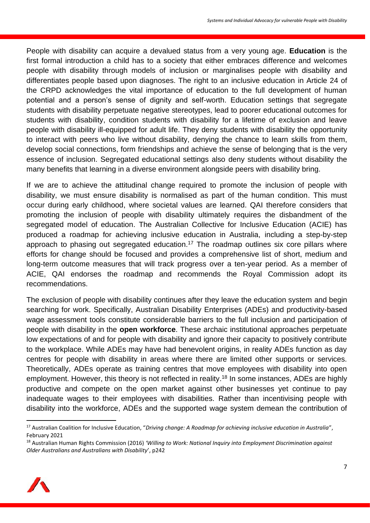People with disability can acquire a devalued status from a very young age. **Education** is the first formal introduction a child has to a society that either embraces difference and welcomes people with disability through models of inclusion or marginalises people with disability and differentiates people based upon diagnoses. The right to an inclusive education in Article 24 of the CRPD acknowledges the vital importance of education to the full development of human potential and a person's sense of dignity and self-worth. Education settings that segregate students with disability perpetuate negative stereotypes, lead to poorer educational outcomes for students with disability, condition students with disability for a lifetime of exclusion and leave people with disability ill-equipped for adult life. They deny students with disability the opportunity to interact with peers who live without disability, denying the chance to learn skills from them, develop social connections, form friendships and achieve the sense of belonging that is the very essence of inclusion. Segregated educational settings also deny students without disability the many benefits that learning in a diverse environment alongside peers with disability bring.

If we are to achieve the attitudinal change required to promote the inclusion of people with disability, we must ensure disability is normalised as part of the human condition. This must occur during early childhood, where societal values are learned. QAI therefore considers that promoting the inclusion of people with disability ultimately requires the disbandment of the segregated model of education. The Australian Collective for Inclusive Education (ACIE) has produced a roadmap for achieving inclusive education in Australia, including a step-by-step approach to phasing out segregated education.<sup>17</sup> The roadmap outlines six core pillars where efforts for change should be focused and provides a comprehensive list of short, medium and long-term outcome measures that will track progress over a ten-year period. As a member of ACIE, QAI endorses the roadmap and recommends the Royal Commission adopt its recommendations.

The exclusion of people with disability continues after they leave the education system and begin searching for work. Specifically, Australian Disability Enterprises (ADEs) and productivity-based wage assessment tools constitute considerable barriers to the full inclusion and participation of people with disability in the **open workforce**. These archaic institutional approaches perpetuate low expectations of and for people with disability and ignore their capacity to positively contribute to the workplace. While ADEs may have had benevolent origins, in reality ADEs function as day centres for people with disability in areas where there are limited other supports or services. Theoretically, ADEs operate as training centres that move employees with disability into open employment. However, this theory is not reflected in reality.<sup>18</sup> In some instances, ADEs are highly productive and compete on the open market against other businesses yet continue to pay inadequate wages to their employees with disabilities. Rather than incentivising people with disability into the workforce, ADEs and the supported wage system demean the contribution of

<sup>18</sup> Australian Human Rights Commission (2016) *'Willing to Work: National Inquiry into Employment Discrimination against Older Australians and Australians with Disability*', p242



<sup>17</sup> Australian Coalition for Inclusive Education, "*Driving change: A Roadmap for achieving inclusive education in Australia*", February 2021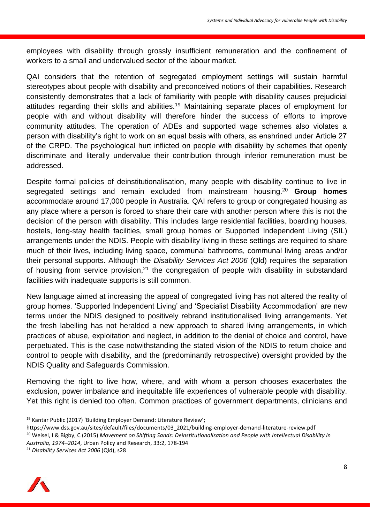employees with disability through grossly insufficient remuneration and the confinement of workers to a small and undervalued sector of the labour market.

QAI considers that the retention of segregated employment settings will sustain harmful stereotypes about people with disability and preconceived notions of their capabilities. Research consistently demonstrates that a lack of familiarity with people with disability causes prejudicial attitudes regarding their skills and abilities.<sup>19</sup> Maintaining separate places of employment for people with and without disability will therefore hinder the success of efforts to improve community attitudes. The operation of ADEs and supported wage schemes also violates a person with disability's right to work on an equal basis with others, as enshrined under Article 27 of the CRPD. The psychological hurt inflicted on people with disability by schemes that openly discriminate and literally undervalue their contribution through inferior remuneration must be addressed.

Despite formal policies of deinstitutionalisation, many people with disability continue to live in segregated settings and remain excluded from mainstream housing. <sup>20</sup> **Group homes** accommodate around 17,000 people in Australia. QAI refers to group or congregated housing as any place where a person is forced to share their care with another person where this is not the decision of the person with disability. This includes large residential facilities, boarding houses, hostels, long-stay health facilities, small group homes or Supported Independent Living (SIL) arrangements under the NDIS. People with disability living in these settings are required to share much of their lives, including living space, communal bathrooms, communal living areas and/or their personal supports. Although the *Disability Services Act 2006* (Qld) requires the separation of housing from service provision,<sup>21</sup> the congregation of people with disability in substandard facilities with inadequate supports is still common.

New language aimed at increasing the appeal of congregated living has not altered the reality of group homes. 'Supported Independent Living' and 'Specialist Disability Accommodation' are new terms under the NDIS designed to positively rebrand institutionalised living arrangements. Yet the fresh labelling has not heralded a new approach to shared living arrangements, in which practices of abuse, exploitation and neglect, in addition to the denial of choice and control, have perpetuated. This is the case notwithstanding the stated vision of the NDIS to return choice and control to people with disability, and the (predominantly retrospective) oversight provided by the NDIS Quality and Safeguards Commission.

Removing the right to live how, where, and with whom a person chooses exacerbates the exclusion, power imbalance and inequitable life experiences of vulnerable people with disability. Yet this right is denied too often. Common practices of government departments, clinicians and

<sup>21</sup> *Disability Services Act 2006* (Qld), s28



<sup>19</sup> Kantar Public (2017) 'Building Employer Demand: Literature Review';

https://www.dss.gov.au/sites/default/files/documents/03\_2021/building-employer-demand-literature-review.pdf <sup>20</sup> Weisel, I & Bigby, C (2015) *Movement on Shifting Sands: Deinstitutionalisation and People with Intellectual Disability in Australia, 1974–2014*, Urban Policy and Research, 33:2, 178-194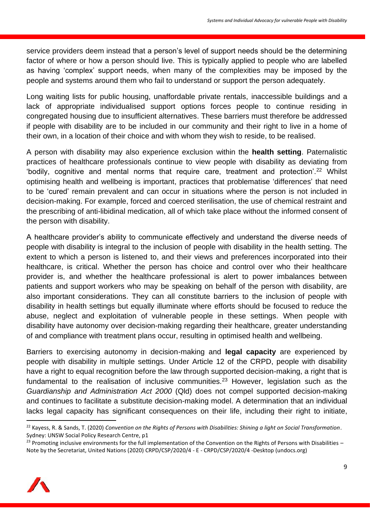service providers deem instead that a person's level of support needs should be the determining factor of where or how a person should live. This is typically applied to people who are labelled as having 'complex' support needs, when many of the complexities may be imposed by the people and systems around them who fail to understand or support the person adequately.

Long waiting lists for public housing, unaffordable private rentals, inaccessible buildings and a lack of appropriate individualised support options forces people to continue residing in congregated housing due to insufficient alternatives. These barriers must therefore be addressed if people with disability are to be included in our community and their right to live in a home of their own, in a location of their choice and with whom they wish to reside, to be realised.

A person with disability may also experience exclusion within the **health setting**. Paternalistic practices of healthcare professionals continue to view people with disability as deviating from 'bodily, cognitive and mental norms that require care, treatment and protection'.<sup>22</sup> Whilst optimising health and wellbeing is important, practices that problematise 'differences' that need to be 'cured' remain prevalent and can occur in situations where the person is not included in decision-making. For example, forced and coerced sterilisation, the use of chemical restraint and the prescribing of anti-libidinal medication, all of which take place without the informed consent of the person with disability.

A healthcare provider's ability to communicate effectively and understand the diverse needs of people with disability is integral to the inclusion of people with disability in the health setting. The extent to which a person is listened to, and their views and preferences incorporated into their healthcare, is critical. Whether the person has choice and control over who their healthcare provider is, and whether the healthcare professional is alert to power imbalances between patients and support workers who may be speaking on behalf of the person with disability, are also important considerations. They can all constitute barriers to the inclusion of people with disability in health settings but equally illuminate where efforts should be focused to reduce the abuse, neglect and exploitation of vulnerable people in these settings. When people with disability have autonomy over decision-making regarding their healthcare, greater understanding of and compliance with treatment plans occur, resulting in optimised health and wellbeing.

Barriers to exercising autonomy in decision-making and **legal capacity** are experienced by people with disability in multiple settings. Under Article 12 of the CRPD, people with disability have a right to equal recognition before the law through supported decision-making, a right that is fundamental to the realisation of inclusive communities.<sup>23</sup> However, legislation such as the *Guardianship and Administration Act 2000* (Qld) does not compel supported decision-making and continues to facilitate a substitute decision-making model. A determination that an individual lacks legal capacity has significant consequences on their life, including their right to initiate,

 $^{23}$  Promoting inclusive environments for the full implementation of the Convention on the Rights of Persons with Disabilities – Note by the Secretariat, United Nations (2020) CRPD/CSP/2020/4 - E - CRPD/CSP/2020/4 -Desktop (undocs.org)



<sup>22</sup> Kayess, R. & Sands, T. (2020) *Convention on the Rights of Persons with Disabilities: Shining a light on Social Transformation*. Sydney: UNSW Social Policy Research Centre, p1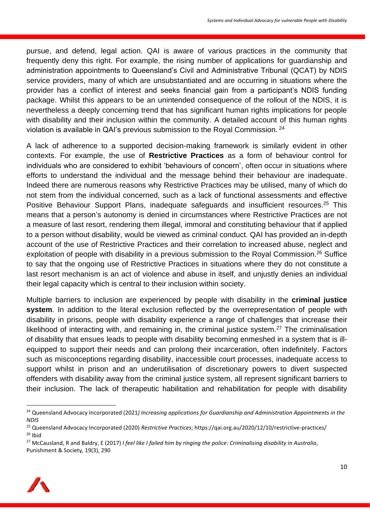pursue, and defend, legal action. QAI is aware of various practices in the community that frequently deny this right. For example, the rising number of applications for guardianship and administration appointments to Queensland's Civil and Administrative Tribunal (QCAT) by NDIS service providers, many of which are unsubstantiated and are occurring in situations where the provider has a conflict of interest and seeks financial gain from a participant's NDIS funding package. Whilst this appears to be an unintended consequence of the rollout of the NDIS, it is nevertheless a deeply concerning trend that has significant human rights implications for people with disability and their inclusion within the community. A detailed account of this human rights violation is available in QAI's previous submission to the Royal Commission. <sup>24</sup>

A lack of adherence to a supported decision-making framework is similarly evident in other contexts. For example, the use of **Restrictive Practices** as a form of behaviour control for individuals who are considered to exhibit 'behaviours of concern', often occur in situations where efforts to understand the individual and the message behind their behaviour are inadequate. Indeed there are numerous reasons why Restrictive Practices may be utilised, many of which do not stem from the individual concerned, such as a lack of functional assessments and effective Positive Behaviour Support Plans, inadequate safeguards and insufficient resources.<sup>25</sup> This means that a person's autonomy is denied in circumstances where Restrictive Practices are not a measure of last resort, rendering them illegal, immoral and constituting behaviour that if applied to a person without disability, would be viewed as criminal conduct. QAI has provided an in-depth account of the use of Restrictive Practices and their correlation to increased abuse, neglect and exploitation of people with disability in a previous submission to the Royal Commission.<sup>26</sup> Suffice to say that the ongoing use of Restrictive Practices in situations where they do not constitute a last resort mechanism is an act of violence and abuse in itself, and unjustly denies an individual their legal capacity which is central to their inclusion within society.

Multiple barriers to inclusion are experienced by people with disability in the **criminal justice system**. In addition to the literal exclusion reflected by the overrepresentation of people with disability in prisons, people with disability experience a range of challenges that increase their likelihood of interacting with, and remaining in, the criminal justice system.<sup>27</sup> The criminalisation of disability that ensues leads to people with disability becoming enmeshed in a system that is illequipped to support their needs and can prolong their incarceration, often indefinitely. Factors such as misconceptions regarding disability, inaccessible court processes, inadequate access to support whilst in prison and an underutilisation of discretionary powers to divert suspected offenders with disability away from the criminal justice system, all represent significant barriers to their inclusion. The lack of therapeutic habilitation and rehabilitation for people with disability

<sup>27</sup> McCausland, R and Baldry, E (2017) *I feel like I failed him by ringing the police: Criminalising disability in Australia*, Punishment & Society*,* 19(3), 290



<sup>24</sup> Queensland Advocacy Incorporated (2021*) Increasing applications for Guardianship and Administration Appointments in the NDIS*

<sup>25</sup> Queensland Advocacy Incorporated (2020) *Restrictive Practices*; https://qai.org.au/2020/12/10/restrictive-practices/  $26$  Ibid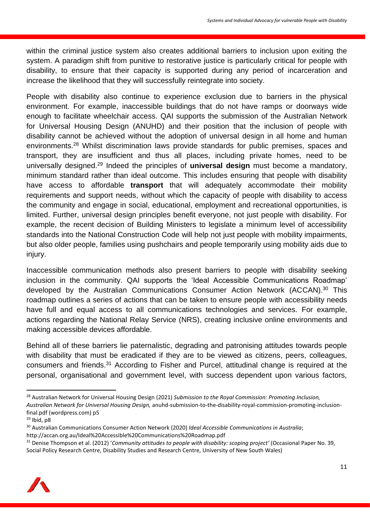within the criminal justice system also creates additional barriers to inclusion upon exiting the system. A paradigm shift from punitive to restorative justice is particularly critical for people with disability, to ensure that their capacity is supported during any period of incarceration and increase the likelihood that they will successfully reintegrate into society.

People with disability also continue to experience exclusion due to barriers in the physical environment. For example, inaccessible buildings that do not have ramps or doorways wide enough to facilitate wheelchair access. QAI supports the submission of the Australian Network for Universal Housing Design (ANUHD) and their position that the inclusion of people with disability cannot be achieved without the adoption of universal design in all home and human environments.<sup>28</sup> Whilst discrimination laws provide standards for public premises, spaces and transport, they are insufficient and thus all places, including private homes, need to be universally designed.<sup>29</sup> Indeed the principles of **universal design** must become a mandatory, minimum standard rather than ideal outcome. This includes ensuring that people with disability have access to affordable **transport** that will adequately accommodate their mobility requirements and support needs, without which the capacity of people with disability to access the community and engage in social, educational, employment and recreational opportunities, is limited. Further, universal design principles benefit everyone, not just people with disability. For example, the recent decision of Building Ministers to legislate a minimum level of accessibility standards into the National Construction Code will help not just people with mobility impairments, but also older people, families using pushchairs and people temporarily using mobility aids due to injury.

Inaccessible communication methods also present barriers to people with disability seeking inclusion in the community. QAI supports the 'Ideal Accessible Communications Roadmap' developed by the Australian Communications Consumer Action Network (ACCAN).<sup>30</sup> This roadmap outlines a series of actions that can be taken to ensure people with accessibility needs have full and equal access to all communications technologies and services. For example, actions regarding the National Relay Service (NRS), creating inclusive online environments and making accessible devices affordable.

Behind all of these barriers lie paternalistic, degrading and patronising attitudes towards people with disability that must be eradicated if they are to be viewed as citizens, peers, colleagues, consumers and friends.<sup>31</sup> According to Fisher and Purcel, attitudinal change is required at the personal, organisational and government level, with success dependent upon various factors,

<sup>31</sup> Denise Thompson et al. (2012) '*Community attitudes to people with disability: scoping project'* (Occasional Paper No. 39, Social Policy Research Centre, Disability Studies and Research Centre, University of New South Wales)



<sup>28</sup> Australian Network for Universal Housing Design (2021) *Submission to the Royal Commission: Promoting Inclusion,* 

*Australian Network for Universal Housing Design,* anuhd-submission-to-the-disability-royal-commission-promoting-inclusionfinal.pdf (wordpress.com) p5

 $29$  Ibid, p8

<sup>30</sup> Australian Communications Consumer Action Network (2020) *Ideal Accessible Communications in Australia*; http://accan.org.au/Ideal%20Accessible%20Communications%20Roadmap.pdf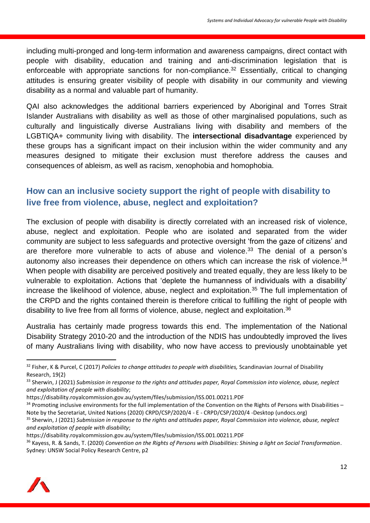including multi-pronged and long-term information and awareness campaigns, direct contact with people with disability, education and training and anti-discrimination legislation that is enforceable with appropriate sanctions for non-compliance.<sup>32</sup> Essentially, critical to changing attitudes is ensuring greater visibility of people with disability in our community and viewing disability as a normal and valuable part of humanity.

QAI also acknowledges the additional barriers experienced by Aboriginal and Torres Strait Islander Australians with disability as well as those of other marginalised populations, such as culturally and linguistically diverse Australians living with disability and members of the LGBTIQA+ community living with disability. The **intersectional disadvantage** experienced by these groups has a significant impact on their inclusion within the wider community and any measures designed to mitigate their exclusion must therefore address the causes and consequences of ableism, as well as racism, xenophobia and homophobia.

# **How can an inclusive society support the right of people with disability to live free from violence, abuse, neglect and exploitation?**

The exclusion of people with disability is directly correlated with an increased risk of violence, abuse, neglect and exploitation. People who are isolated and separated from the wider community are subject to less safeguards and protective oversight 'from the gaze of citizens' and are therefore more vulnerable to acts of abuse and violence.<sup>33</sup> The denial of a person's autonomy also increases their dependence on others which can increase the risk of violence.<sup>34</sup> When people with disability are perceived positively and treated equally, they are less likely to be vulnerable to exploitation. Actions that 'deplete the humanness of individuals with a disability' increase the likelihood of violence, abuse, neglect and exploitation.<sup>35</sup> The full implementation of the CRPD and the rights contained therein is therefore critical to fulfilling the right of people with disability to live free from all forms of violence, abuse, neglect and exploitation.<sup>36</sup>

Australia has certainly made progress towards this end. The implementation of the National Disability Strategy 2010-20 and the introduction of the NDIS has undoubtedly improved the lives of many Australians living with disability, who now have access to previously unobtainable yet

<sup>36</sup> Kayess, R. & Sands, T. (2020) *Convention on the Rights of Persons with Disabilities: Shining a light on Social Transformation*. Sydney: UNSW Social Policy Research Centre, p2



<sup>32</sup> Fisher, K & Purcel, C (2017) *Policies to change attitudes to people with disabilities,* Scandinavian Journal of Disability Research, 19(2)

<sup>33</sup> Sherwin, J (2021) *Submission in response to the rights and attitudes paper, Royal Commission into violence, abuse, neglect and exploitation of people with disability*;

https://disability.royalcommission.gov.au/system/files/submission/ISS.001.00211.PDF

 $34$  Promoting inclusive environments for the full implementation of the Convention on the Rights of Persons with Disabilities – Note by the Secretariat, United Nations (2020) CRPD/CSP/2020/4 - E - CRPD/CSP/2020/4 -Desktop (undocs.org)

<sup>35</sup> Sherwin, J (2021) *Submission in response to the rights and attitudes paper, Royal Commission into violence, abuse, neglect and exploitation of people with disability*;

https://disability.royalcommission.gov.au/system/files/submission/ISS.001.00211.PDF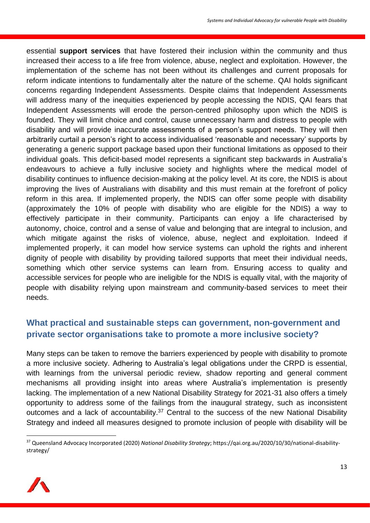essential **support services** that have fostered their inclusion within the community and thus increased their access to a life free from violence, abuse, neglect and exploitation. However, the implementation of the scheme has not been without its challenges and current proposals for reform indicate intentions to fundamentally alter the nature of the scheme. QAI holds significant concerns regarding Independent Assessments. Despite claims that Independent Assessments will address many of the inequities experienced by people accessing the NDIS, QAI fears that Independent Assessments will erode the person-centred philosophy upon which the NDIS is founded. They will limit choice and control, cause unnecessary harm and distress to people with disability and will provide inaccurate assessments of a person's support needs. They will then arbitrarily curtail a person's right to access individualised 'reasonable and necessary' supports by generating a generic support package based upon their functional limitations as opposed to their individual goals. This deficit-based model represents a significant step backwards in Australia's endeavours to achieve a fully inclusive society and highlights where the medical model of disability continues to influence decision-making at the policy level. At its core, the NDIS is about improving the lives of Australians with disability and this must remain at the forefront of policy reform in this area. If implemented properly, the NDIS can offer some people with disability (approximately the 10% of people with disability who are eligible for the NDIS) a way to effectively participate in their community. Participants can enjoy a life characterised by autonomy, choice, control and a sense of value and belonging that are integral to inclusion, and which mitigate against the risks of violence, abuse, neglect and exploitation. Indeed if implemented properly, it can model how service systems can uphold the rights and inherent dignity of people with disability by providing tailored supports that meet their individual needs, something which other service systems can learn from. Ensuring access to quality and accessible services for people who are ineligible for the NDIS is equally vital, with the majority of people with disability relying upon mainstream and community-based services to meet their needs.

# **What practical and sustainable steps can government, non-government and private sector organisations take to promote a more inclusive society?**

Many steps can be taken to remove the barriers experienced by people with disability to promote a more inclusive society. Adhering to Australia's legal obligations under the CRPD is essential, with learnings from the universal periodic review, shadow reporting and general comment mechanisms all providing insight into areas where Australia's implementation is presently lacking. The implementation of a new National Disability Strategy for 2021-31 also offers a timely opportunity to address some of the failings from the inaugural strategy, such as inconsistent outcomes and a lack of accountability.<sup>37</sup> Central to the success of the new National Disability Strategy and indeed all measures designed to promote inclusion of people with disability will be

<sup>37</sup> Queensland Advocacy Incorporated (2020) *National Disability Strategy*; https://qai.org.au/2020/10/30/national-disabilitystrategy/

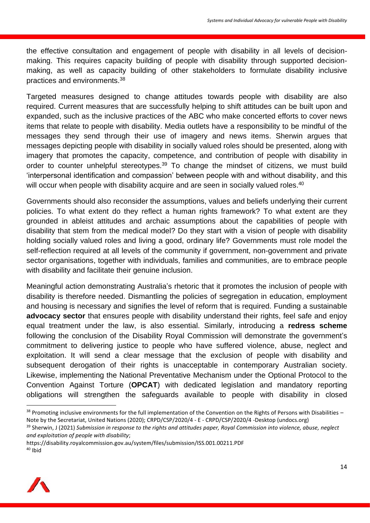the effective consultation and engagement of people with disability in all levels of decisionmaking. This requires capacity building of people with disability through supported decisionmaking, as well as capacity building of other stakeholders to formulate disability inclusive practices and environments.<sup>38</sup>

Targeted measures designed to change attitudes towards people with disability are also required. Current measures that are successfully helping to shift attitudes can be built upon and expanded, such as the inclusive practices of the ABC who make concerted efforts to cover news items that relate to people with disability. Media outlets have a responsibility to be mindful of the messages they send through their use of imagery and news items. Sherwin argues that messages depicting people with disability in socially valued roles should be presented, along with imagery that promotes the capacity, competence, and contribution of people with disability in order to counter unhelpful stereotypes.<sup>39</sup> To change the mindset of citizens, we must build 'interpersonal identification and compassion' between people with and without disability, and this will occur when people with disability acquire and are seen in socially valued roles.<sup>40</sup>

Governments should also reconsider the assumptions, values and beliefs underlying their current policies. To what extent do they reflect a human rights framework? To what extent are they grounded in ableist attitudes and archaic assumptions about the capabilities of people with disability that stem from the medical model? Do they start with a vision of people with disability holding socially valued roles and living a good, ordinary life? Governments must role model the self-reflection required at all levels of the community if government, non-government and private sector organisations, together with individuals, families and communities, are to embrace people with disability and facilitate their genuine inclusion.

Meaningful action demonstrating Australia's rhetoric that it promotes the inclusion of people with disability is therefore needed. Dismantling the policies of segregation in education, employment and housing is necessary and signifies the level of reform that is required. Funding a sustainable **advocacy sector** that ensures people with disability understand their rights, feel safe and enjoy equal treatment under the law, is also essential. Similarly, introducing a **redress scheme**  following the conclusion of the Disability Royal Commission will demonstrate the government's commitment to delivering justice to people who have suffered violence, abuse, neglect and exploitation. It will send a clear message that the exclusion of people with disability and subsequent derogation of their rights is unacceptable in contemporary Australian society. Likewise, implementing the National Preventative Mechanism under the Optional Protocol to the Convention Against Torture (**OPCAT**) with dedicated legislation and mandatory reporting obligations will strengthen the safeguards available to people with disability in closed

https://disability.royalcommission.gov.au/system/files/submission/ISS.001.00211.PDF <sup>40</sup> Ibid



 $38$  Promoting inclusive environments for the full implementation of the Convention on the Rights of Persons with Disabilities – Note by the Secretariat, United Nations (2020); CRPD/CSP/2020/4 - E - CRPD/CSP/2020/4 -Desktop (undocs.org)

<sup>39</sup> Sherwin, J (2021) *Submission in response to the rights and attitudes paper, Royal Commission into violence, abuse, neglect and exploitation of people with disability*;